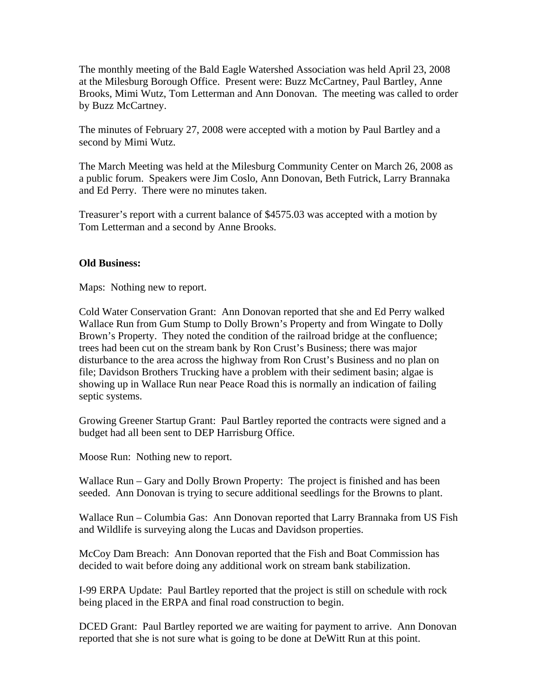The monthly meeting of the Bald Eagle Watershed Association was held April 23, 2008 at the Milesburg Borough Office. Present were: Buzz McCartney, Paul Bartley, Anne Brooks, Mimi Wutz, Tom Letterman and Ann Donovan. The meeting was called to order by Buzz McCartney.

The minutes of February 27, 2008 were accepted with a motion by Paul Bartley and a second by Mimi Wutz.

The March Meeting was held at the Milesburg Community Center on March 26, 2008 as a public forum. Speakers were Jim Coslo, Ann Donovan, Beth Futrick, Larry Brannaka and Ed Perry. There were no minutes taken.

Treasurer's report with a current balance of \$4575.03 was accepted with a motion by Tom Letterman and a second by Anne Brooks.

## **Old Business:**

Maps: Nothing new to report.

Cold Water Conservation Grant: Ann Donovan reported that she and Ed Perry walked Wallace Run from Gum Stump to Dolly Brown's Property and from Wingate to Dolly Brown's Property. They noted the condition of the railroad bridge at the confluence; trees had been cut on the stream bank by Ron Crust's Business; there was major disturbance to the area across the highway from Ron Crust's Business and no plan on file; Davidson Brothers Trucking have a problem with their sediment basin; algae is showing up in Wallace Run near Peace Road this is normally an indication of failing septic systems.

Growing Greener Startup Grant: Paul Bartley reported the contracts were signed and a budget had all been sent to DEP Harrisburg Office.

Moose Run: Nothing new to report.

Wallace Run – Gary and Dolly Brown Property: The project is finished and has been seeded. Ann Donovan is trying to secure additional seedlings for the Browns to plant.

Wallace Run – Columbia Gas: Ann Donovan reported that Larry Brannaka from US Fish and Wildlife is surveying along the Lucas and Davidson properties.

McCoy Dam Breach: Ann Donovan reported that the Fish and Boat Commission has decided to wait before doing any additional work on stream bank stabilization.

I-99 ERPA Update: Paul Bartley reported that the project is still on schedule with rock being placed in the ERPA and final road construction to begin.

DCED Grant: Paul Bartley reported we are waiting for payment to arrive. Ann Donovan reported that she is not sure what is going to be done at DeWitt Run at this point.